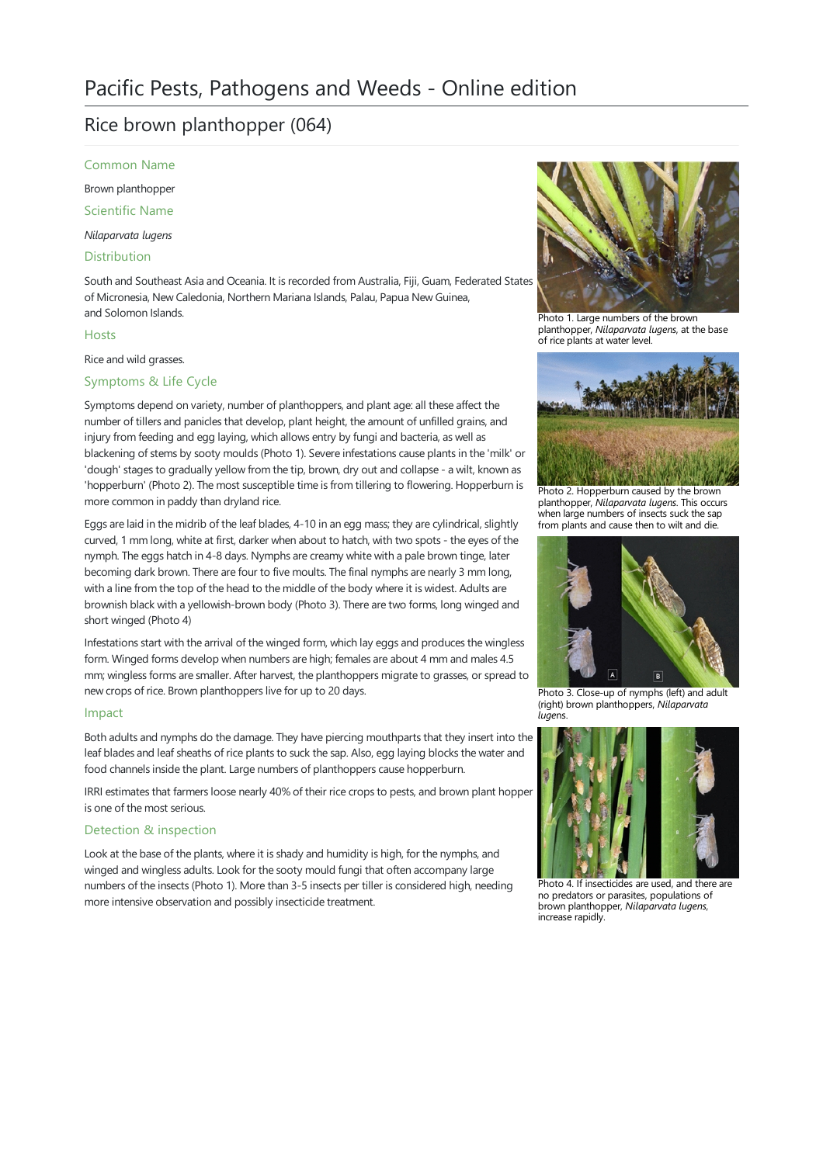# Rice brown planthopper (064)

Common Name

Brown planthopper

Scientific Name

*Nilaparvata lugens*

Distribution

South and Southeast Asia and Oceania. It is recorded from Australia, Fiji, Guam, Federated States of Micronesia, New Caledonia, Northern Mariana Islands, Palau, Papua New Guinea, and Solomon Islands.

# Hosts

Rice and wild grasses.

# Symptoms & Life Cycle

Symptoms depend on variety, number of planthoppers, and plant age: all these affect the number of tillers and panicles that develop, plant height, the amount of unfilled grains, and injury from feeding and egg laying, which allows entry by fungi and bacteria, as well as blackening of stems by sooty moulds (Photo 1). Severe infestations cause plants in the 'milk' or 'dough' stages to gradually yellow from the tip, brown, dry out and collapse - a wilt, known as 'hopperburn' (Photo 2). The most susceptible time is from tillering to flowering. Hopperburn is more common in paddy than dryland rice.

Eggs are laid in the midrib of the leaf blades, 4-10 in an egg mass; they are cylindrical, slightly curved, 1 mm long, white at first, darker when about to hatch, with two spots - the eyes of the nymph. The eggs hatch in 4-8 days. Nymphs are creamy white with a pale brown tinge, later becoming dark brown. There are four to five moults. The final nymphs are nearly 3 mm long, with a line from the top of the head to the middle of the body where it is widest. Adults are brownish black with a yellowish-brown body (Photo 3). There are two forms, long winged and short winged (Photo 4)

Infestations start with the arrival of the winged form, which lay eggs and produces the wingless form. Winged forms develop when numbers are high; females are about 4 mm and males 4.5 mm; wingless forms are smaller. After harvest, the planthoppers migrate to grasses, or spread to new crops of rice. Brown planthoppers live for up to 20 days.

# Impact

Both adults and nymphs do the damage. They have piercing mouthparts that they insert into the leaf blades and leaf sheaths of rice plants to suck the sap. Also, egg laying blocks the water and food channels inside the plant. Large numbers of planthoppers cause hopperburn.

IRRI estimates that farmers loose nearly 40% of their rice crops to pests, and brown plant hopper is one of the most serious.

# Detection & inspection

Look at the base of the plants, where it is shady and humidity is high, for the nymphs, and winged and wingless adults. Look for the sooty mould fungi that often accompany large numbers of the insects (Photo 1). More than 3-5 insects per tiller is considered high, needing more intensive observation and possibly insecticide treatment.



Photo 1. Large numbers of the brown planthopper, *Nilaparvata lugens*, at the base of rice plants at water level.



Photo 2. Hopperburn caused by the brown planthopper, *Nilaparvata lugens*. This occurs when large numbers of insects suck thesap from plants and cause then to wilt and die.



Photo 3. Close-up of nymphs (left) and adult (right) brown planthoppers, *Nilaparvata luge*ns.



Photo 4. If insecticides are used, and there are no predators or parasites, populations of brown planthopper, *Nilaparvata lugens*, increase rapidly.